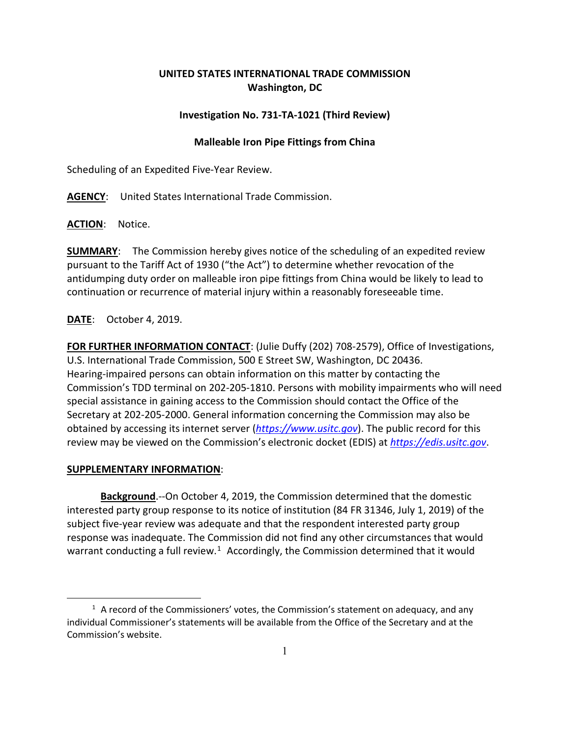# **UNITED STATES INTERNATIONAL TRADE COMMISSION Washington, DC**

### **Investigation No. 731-TA-1021 (Third Review)**

### **Malleable Iron Pipe Fittings from China**

Scheduling of an Expedited Five-Year Review.

**AGENCY**: United States International Trade Commission.

**ACTION**: Notice.

**SUMMARY**: The Commission hereby gives notice of the scheduling of an expedited review pursuant to the Tariff Act of 1930 ("the Act") to determine whether revocation of the antidumping duty order on malleable iron pipe fittings from China would be likely to lead to continuation or recurrence of material injury within a reasonably foreseeable time.

## **DATE**: October 4, 2019.

**FOR FURTHER INFORMATION CONTACT**: (Julie Duffy (202) 708-2579), Office of Investigations, U.S. International Trade Commission, 500 E Street SW, Washington, DC 20436. Hearing-impaired persons can obtain information on this matter by contacting the Commission's TDD terminal on 202-205-1810. Persons with mobility impairments who will need special assistance in gaining access to the Commission should contact the Office of the Secretary at 202-205-2000. General information concerning the Commission may also be obtained by accessing its internet server (*[https://www.usitc.gov](https://www.usitc.gov/)*). The public record for this review may be viewed on the Commission's electronic docket (EDIS) at *[https://edis.usitc.gov](https://edis.usitc.gov/)*.

#### **SUPPLEMENTARY INFORMATION**:

 $\overline{a}$ 

**Background**.--On October 4, 2019, the Commission determined that the domestic interested party group response to its notice of institution (84 FR 31346, July 1, 2019) of the subject five-year review was adequate and that the respondent interested party group response was inadequate. The Commission did not find any other circumstances that would warrant conducting a full review.<sup>[1](#page-0-0)</sup> Accordingly, the Commission determined that it would

<span id="page-0-0"></span> $<sup>1</sup>$  A record of the Commissioners' votes, the Commission's statement on adequacy, and any</sup> individual Commissioner's statements will be available from the Office of the Secretary and at the Commission's website.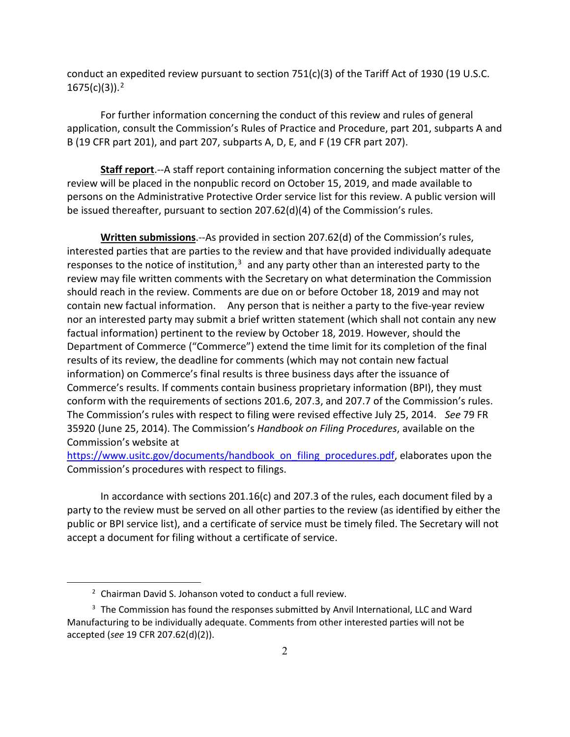conduct an expedited review pursuant to section  $751(c)(3)$  of the Tariff Act of 1930 (19 U.S.C. 1675(c)(3)). [2](#page-1-0)

For further information concerning the conduct of this review and rules of general application, consult the Commission's Rules of Practice and Procedure, part 201, subparts A and B (19 CFR part 201), and part 207, subparts A, D, E, and F (19 CFR part 207).

**Staff report**.--A staff report containing information concerning the subject matter of the review will be placed in the nonpublic record on October 15, 2019, and made available to persons on the Administrative Protective Order service list for this review. A public version will be issued thereafter, pursuant to section 207.62(d)(4) of the Commission's rules.

**Written submissions**.--As provided in section 207.62(d) of the Commission's rules, interested parties that are parties to the review and that have provided individually adequate responses to the notice of institution, $3$  and any party other than an interested party to the review may file written comments with the Secretary on what determination the Commission should reach in the review. Comments are due on or before October 18, 2019 and may not contain new factual information. Any person that is neither a party to the five-year review nor an interested party may submit a brief written statement (which shall not contain any new factual information) pertinent to the review by October 18, 2019. However, should the Department of Commerce ("Commerce") extend the time limit for its completion of the final results of its review, the deadline for comments (which may not contain new factual information) on Commerce's final results is three business days after the issuance of Commerce's results. If comments contain business proprietary information (BPI), they must conform with the requirements of sections 201.6, 207.3, and 207.7 of the Commission's rules. The Commission's rules with respect to filing were revised effective July 25, 2014. *See* 79 FR 35920 (June 25, 2014). The Commission's *Handbook on Filing Procedures*, available on the Commission's website at

[https://www.usitc.gov/documents/handbook\\_on\\_filing\\_procedures.pdf,](https://www.usitc.gov/documents/handbook_on_filing_procedures.pdf) elaborates upon the Commission's procedures with respect to filings.

In accordance with sections 201.16(c) and 207.3 of the rules, each document filed by a party to the review must be served on all other parties to the review (as identified by either the public or BPI service list), and a certificate of service must be timely filed. The Secretary will not accept a document for filing without a certificate of service.

 $\overline{a}$ 

<sup>&</sup>lt;sup>2</sup> Chairman David S. Johanson voted to conduct a full review.

<span id="page-1-1"></span><span id="page-1-0"></span><sup>&</sup>lt;sup>3</sup> The Commission has found the responses submitted by Anvil International, LLC and Ward Manufacturing to be individually adequate. Comments from other interested parties will not be accepted (*see* 19 CFR 207.62(d)(2)).